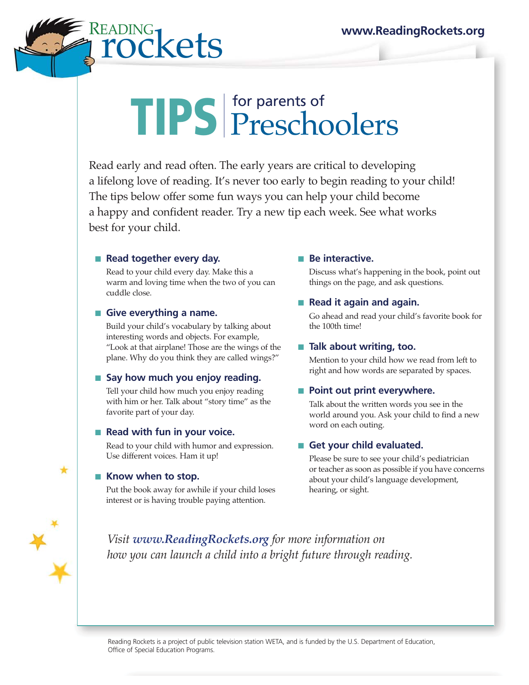# $\operatorname{Coker}_{\Omega}$  www.ReadingRockets.org $\operatorname{Coker}_{\Omega}$

# TIPS for parents of Preschoolers

Read early and read often. The early years are critical to developing a lifelong love of reading. It's never too early to begin reading to your child! The tips below offer some fun ways you can help your child become a happy and confident reader. Try a new tip each week. See what works best for your child.

#### ■ **Read together every day.**

Read to your child every day. Make this a warm and loving time when the two of you can cuddle close.

#### ■ Give everything a name.

Build your child's vocabulary by talking about interesting words and objects. For example, "Look at that airplane! Those are the wings of the plane. Why do you think they are called wings?"

## ■ Say how much you enjoy reading.

Tell your child how much you enjoy reading with him or her. Talk about "story time" as the favorite part of your day.

## ■ **Read with fun in your voice.**

Read to your child with humor and expression. Use different voices. Ham it up!

#### ■ Know when to stop.

Put the book away for awhile if your child loses interest or is having trouble paying attention.

## ■ **Be interactive.**

Discuss what's happening in the book, point out things on the page, and ask questions.

## ■ **Read it again and again.**

Go ahead and read your child's favorite book for the 100th time!

## ■ **Talk about writing, too.**

Mention to your child how we read from left to right and how words are separated by spaces.

## ■ **Point out print everywhere.**

Talk about the written words you see in the world around you. Ask your child to find a new word on each outing.

## ■ Get your child evaluated.

Please be sure to see your child's pediatrician or teacher as soon as possible if you have concerns about your child's language development, hearing, or sight.

*Visit www.ReadingRockets.org for more information on how you can launch a child into a bright future through reading.*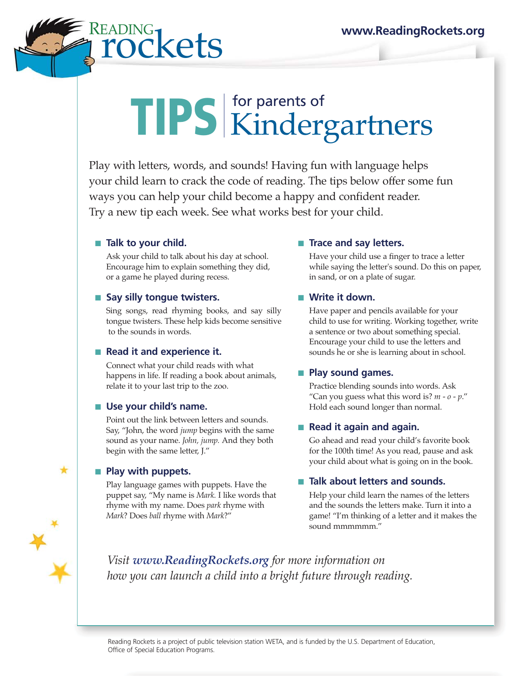# **READING** www.ReadingRockets.org<br> **PCKets**

# TIPS for parents of Kindergartners

Play with letters, words, and sounds! Having fun with language helps your child learn to crack the code of reading. The tips below offer some fun ways you can help your child become a happy and confident reader. Try a new tip each week. See what works best for your child.

#### ■ **Talk to your child.**

Ask your child to talk about his day at school. Encourage him to explain something they did, or a game he played during recess.

#### ■ Say silly tongue twisters.

Sing songs, read rhyming books, and say silly tongue twisters. These help kids become sensitive to the sounds in words.

## ■ **Read it and experience it.**

Connect what your child reads with what happens in life. If reading a book about animals, relate it to your last trip to the zoo.

#### ■ Use your child's name.

Point out the link between letters and sounds. Say, "John, the word *jump* begins with the same sound as your name. *John, jump.* And they both begin with the same letter, J."

#### ■ **Play with puppets.**

Play language games with puppets. Have the puppet say, "My name is *Mark.* I like words that rhyme with my name. Does *park* rhyme with *Mark*? Does *ball* rhyme with *Mark*?"

#### ■ **Trace and say letters.**

Have your child use a finger to trace a letter while saying the letter's sound. Do this on paper, in sand, or on a plate of sugar.

#### ■ Write it down.

Have paper and pencils available for your child to use for writing. Working together, write a sentence or two about something special. Encourage your child to use the letters and sounds he or she is learning about in school.

## ■ **Play sound games.**

Practice blending sounds into words. Ask "Can you guess what this word is? *m - o - p*." Hold each sound longer than normal.

## ■ **Read it again and again.**

Go ahead and read your child's favorite book for the 100th time! As you read, pause and ask your child about what is going on in the book.

## ■ Talk about letters and sounds.

Help your child learn the names of the letters and the sounds the letters make. Turn it into a game! "I'm thinking of a letter and it makes the sound mmmmmm."

*Visit www.ReadingRockets.org for more information on how you can launch a child into a bright future through reading.*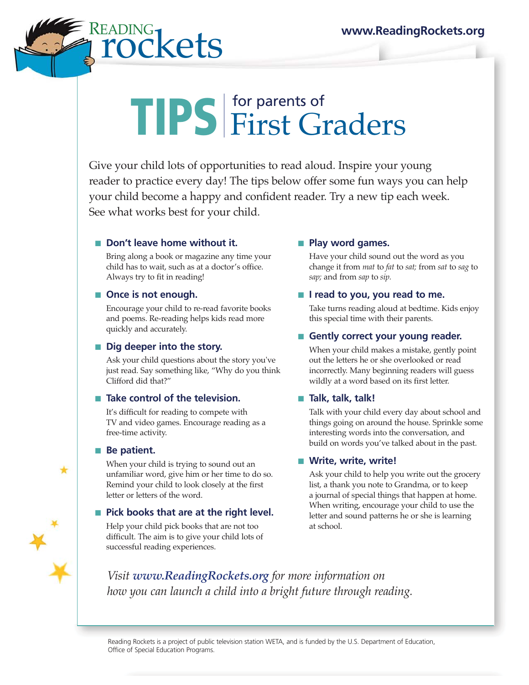# $\mathsf{DING}\{\mathsf{K}\mathsf{Pf}\mathsf{S}\}$  www.ReadingRockets.org

# TIPS for parents of First Graders

Give your child lots of opportunities to read aloud. Inspire your young reader to practice every day! The tips below offer some fun ways you can help your child become a happy and confident reader. Try a new tip each week. See what works best for your child.

# ■ **Don't leave home without it.**

Bring along a book or magazine any time your child has to wait, such as at a doctor's office. Always try to fit in reading!

#### ■ Once is not enough.

Encourage your child to re-read favorite books and poems. Re-reading helps kids read more quickly and accurately.

## ■ **Dig deeper into the story.**

Ask your child questions about the story you've just read. Say something like, "Why do you think Clifford did that?"

## ■ **Take control of the television.**

It's difficult for reading to compete with TV and video games. Encourage reading as a free-time activity.

#### ■ **Be patient.**

When your child is trying to sound out an unfamiliar word, give him or her time to do so. Remind your child to look closely at the first letter or letters of the word.

## ■ Pick books that are at the right level.

Help your child pick books that are not too difficult. The aim is to give your child lots of successful reading experiences.

## ■ **Play word games.**

Have your child sound out the word as you change it from *mat* to *fat* to *sat;* from *sat* to *sag* to *sap;* and from *sap* to *sip.*

## ■ **I** read to you, you read to me.

Take turns reading aloud at bedtime. Kids enjoy this special time with their parents.

#### ■ Gently correct your young reader.

When your child makes a mistake, gently point out the letters he or she overlooked or read incorrectly. Many beginning readers will guess wildly at a word based on its first letter.

## ■ **Talk, talk, talk!**

Talk with your child every day about school and things going on around the house. Sprinkle some interesting words into the conversation, and build on words you've talked about in the past.

## ■ Write, write, write!

Ask your child to help you write out the grocery list, a thank you note to Grandma, or to keep a journal of special things that happen at home. When writing, encourage your child to use the letter and sound patterns he or she is learning at school.

*Visit www.ReadingRockets.org for more information on how you can launch a child into a bright future through reading.*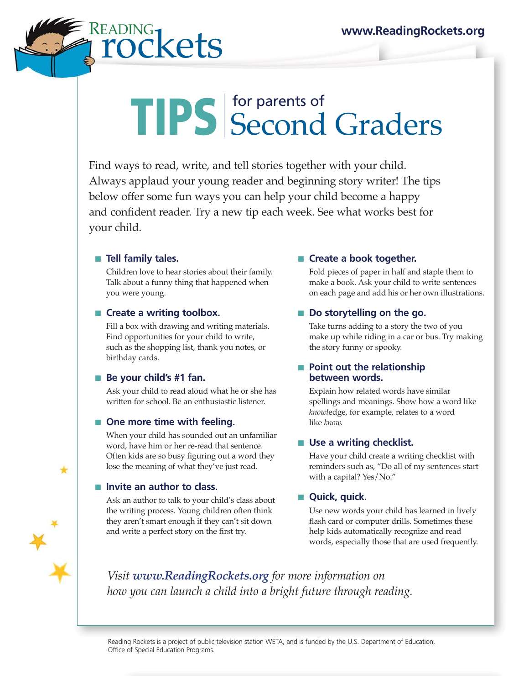# **Refs** www.ReadingRockets.org

# TIPS for parents of Second Graders

Find ways to read, write, and tell stories together with your child. Always applaud your young reader and beginning story writer! The tips below offer some fun ways you can help your child become a happy and confident reader. Try a new tip each week. See what works best for your child.

# ■ **Tell family tales.**

Children love to hear stories about their family. Talk about a funny thing that happened when you were young.

## ■ **Create a writing toolbox.**

Fill a box with drawing and writing materials. Find opportunities for your child to write, such as the shopping list, thank you notes, or birthday cards.

## ■ **Be your child's #1 fan.**

Ask your child to read aloud what he or she has written for school. Be an enthusiastic listener.

## ■ One more time with feeling.

When your child has sounded out an unfamiliar word, have him or her re-read that sentence. Often kids are so busy figuring out a word they lose the meaning of what they've just read.

## ■ **Invite an author to class.**

Ask an author to talk to your child's class about the writing process. Young children often think they aren't smart enough if they can't sit down and write a perfect story on the first try.

# ■ **Create a book together.**

Fold pieces of paper in half and staple them to make a book. Ask your child to write sentences on each page and add his or her own illustrations.

# ■ **Do storytelling on the go.**

Take turns adding to a story the two of you make up while riding in a car or bus. Try making the story funny or spooky.

#### ■ **Point out the relationship between words.**

Explain how related words have similar spellings and meanings. Show how a word like *knowl*edge, for example, relates to a word like *know.*

# ■ Use a writing checklist.

Have your child create a writing checklist with reminders such as, "Do all of my sentences start with a capital? Yes/No."

# ■ **Quick, quick.**

Use new words your child has learned in lively flash card or computer drills. Sometimes these help kids automatically recognize and read words, especially those that are used frequently.

*Visit www.ReadingRockets.org for more information on how you can launch a child into a bright future through reading.*